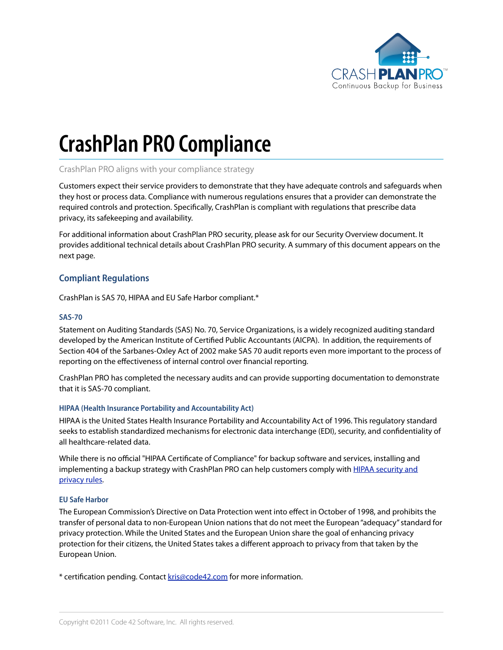

# **CrashPlan PRO Compliance**

## CrashPlan PRO aligns with your compliance strategy

Customers expect their service providers to demonstrate that they have adequate controls and safeguards when they host or process data. Compliance with numerous regulations ensures that a provider can demonstrate the required controls and protection. Specifically, CrashPlan is compliant with regulations that prescribe data privacy, its safekeeping and availability.

For additional information about CrashPlan PRO security, please ask for our Security Overview document. It provides additional technical details about CrashPlan PRO security. A summary of this document appears on the next page.

## **Compliant Regulations**

CrashPlan is SAS 70, HIPAA and EU Safe Harbor compliant.\*

#### **SAS-70**

Statement on Auditing Standards (SAS) No. 70, Service Organizations, is a widely recognized auditing standard developed by the American Institute of Certified Public Accountants (AICPA). In addition, the requirements of Section 404 of the Sarbanes-Oxley Act of 2002 make SAS 70 audit reports even more important to the process of reporting on the effectiveness of internal control over financial reporting.

CrashPlan PRO has completed the necessary audits and can provide supporting documentation to demonstrate that it is SAS-70 compliant.

#### **HIPAA (Health Insurance Portability and Accountability Act)**

HIPAA is the United States Health Insurance Portability and Accountability Act of 1996. This regulatory standard seeks to establish standardized mechanisms for electronic data interchange (EDI), security, and confidentiality of all healthcare-related data.

While there is no official "HIPAA Certificate of Compliance" for backup software and services, installing and implementing a backup strategy with CrashPlan PRO can help customers comply with **HIPAA** security and privacy rules.

#### **EU Safe Harbor**

The European Commission's Directive on Data Protection went into effect in October of 1998, and prohibits the transfer of personal data to non-European Union nations that do not meet the European "adequacy" standard for privacy protection. While the United States and the European Union share the goal of enhancing privacy protection for their citizens, the United States takes a different approach to privacy from that taken by the European Union.

\* certification pending. Contact kris@code42.com for more information.